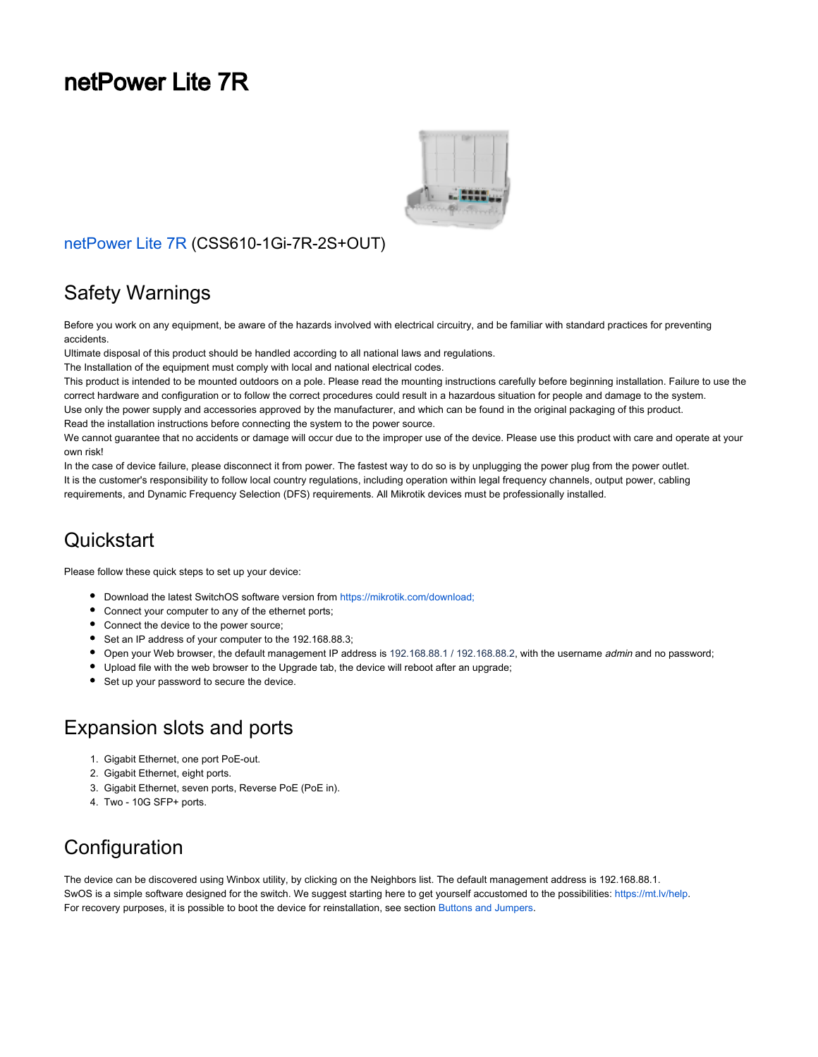# netPower Lite 7R



#### [netPower Lite 7R](https://mikrotik.com/product/netpower_lite_7r) (CSS610-1Gi-7R-2S+OUT)

#### Safety Warnings

Before you work on any equipment, be aware of the hazards involved with electrical circuitry, and be familiar with standard practices for preventing accidents.

Ultimate disposal of this product should be handled according to all national laws and regulations.

The Installation of the equipment must comply with local and national electrical codes.

This product is intended to be mounted outdoors on a pole. Please read the mounting instructions carefully before beginning installation. Failure to use the correct hardware and configuration or to follow the correct procedures could result in a hazardous situation for people and damage to the system. Use only the power supply and accessories approved by the manufacturer, and which can be found in the original packaging of this product. Read the installation instructions before connecting the system to the power source.

We cannot guarantee that no accidents or damage will occur due to the improper use of the device. Please use this product with care and operate at your own risk!

In the case of device failure, please disconnect it from power. The fastest way to do so is by unplugging the power plug from the power outlet. It is the customer's responsibility to follow local country regulations, including operation within legal frequency channels, output power, cabling requirements, and Dynamic Frequency Selection (DFS) requirements. All Mikrotik devices must be professionally installed.

#### **Quickstart**

Please follow these quick steps to set up your device:

- Download the latest SwitchOS software version from [https://mikrotik.com/download;](https://mikrotik.com/download)
- Connect your computer to any of the ethernet ports;
- Connect the device to the power source;
- Set an IP address of your computer to the 192.168.88.3;
- Open your Web browser, the default management IP address is 192.168.88.1 / 192.168.88.2, with the username admin and no password;
- Upload file with the web browser to the Upgrade tab, the device will reboot after an upgrade;
- Set up your password to secure the device.

## Expansion slots and ports

- 1. Gigabit Ethernet, one port PoE-out.
- 2. Gigabit Ethernet, eight ports.
- 3. Gigabit Ethernet, seven ports, Reverse PoE (PoE in).
- 4. Two 10G SFP+ ports.

#### **Configuration**

The device can be discovered using Winbox utility, by clicking on the Neighbors list. The default management address is 192.168.88.1. SwOS is a simple software designed for the switch. We suggest starting here to get yourself accustomed to the possibilities: [https://mt.lv/help.](https://mt.lv/help) For recovery purposes, it is possible to boot the device for reinstallation, see section Buttons and Jumpers.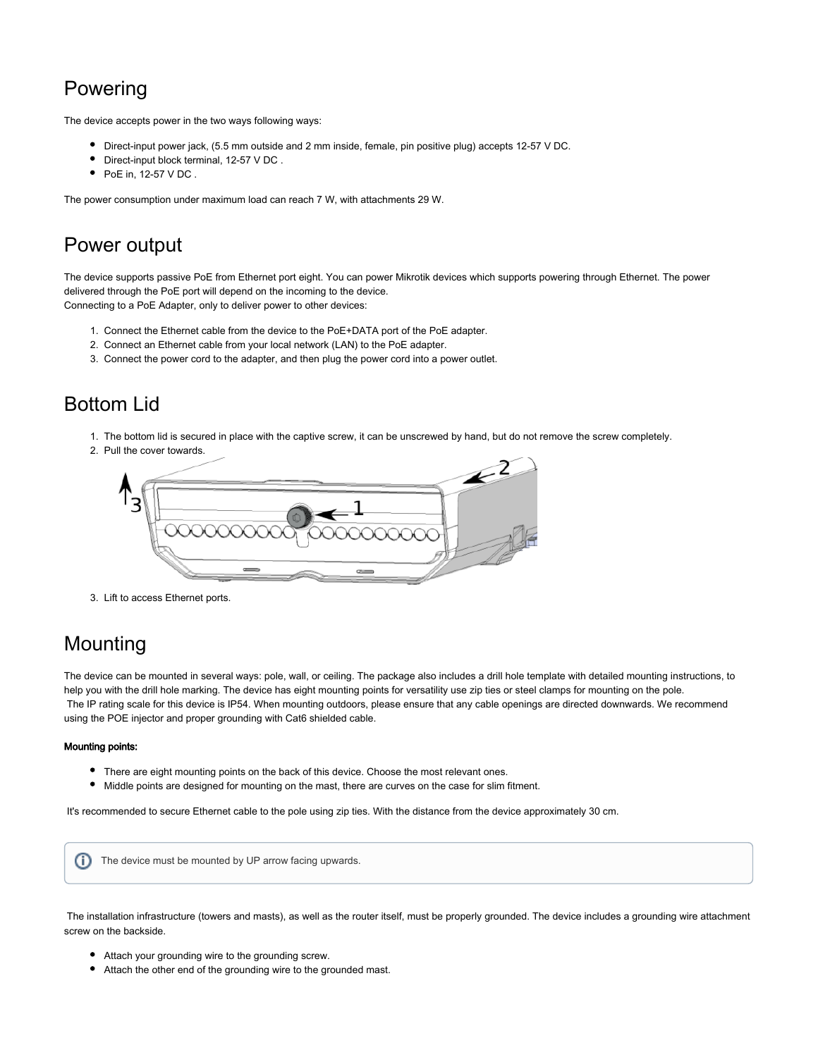# Powering

The device accepts power in the two ways following ways:

- Direct-input power jack, (5.5 mm outside and 2 mm inside, female, pin positive plug) accepts 12-57 V DC.
- Direct-input block terminal, 12-57 V DC .
- $\bullet$  PoE in, 12-57 V DC.

The power consumption under maximum load can reach 7 W, with attachments 29 W.

#### Power output

The device supports passive PoE from Ethernet port eight. You can power Mikrotik devices which supports powering through Ethernet. The power delivered through the PoE port will depend on the incoming to the device. Connecting to a PoE Adapter, only to deliver power to other devices:

- 1. Connect the Ethernet cable from the device to the PoE+DATA port of the PoE adapter.
- 2. Connect an Ethernet cable from your local network (LAN) to the PoE adapter.
- 3. Connect the power cord to the adapter, and then plug the power cord into a power outlet.

#### Bottom Lid

- 1. The bottom lid is secured in place with the captive screw, it can be unscrewed by hand, but do not remove the screw completely.
- 2. Pull the cover towards.



3. Lift to access Ethernet ports.

#### Mounting

The device can be mounted in several ways: pole, wall, or ceiling. The package also includes a drill hole template with detailed mounting instructions, to help you with the drill hole marking. The device has eight mounting points for versatility use zip ties or steel clamps for mounting on the pole. The IP rating scale for this device is IP54. When mounting outdoors, please ensure that any cable openings are directed downwards. We recommend using the POE injector and proper grounding with Cat6 shielded cable.

#### Mounting points:

- There are eight mounting points on the back of this device. Choose the most relevant ones.
- Middle points are designed for mounting on the mast, there are curves on the case for slim fitment.

It's recommended to secure Ethernet cable to the pole using zip ties. With the distance from the device approximately 30 cm.

The device must be mounted by UP arrow facing upwards.G)

 The installation infrastructure (towers and masts), as well as the router itself, must be properly grounded. The device includes a grounding wire attachment screw on the backside.

- Attach your grounding wire to the grounding screw.
- Attach the other end of the grounding wire to the grounded mast.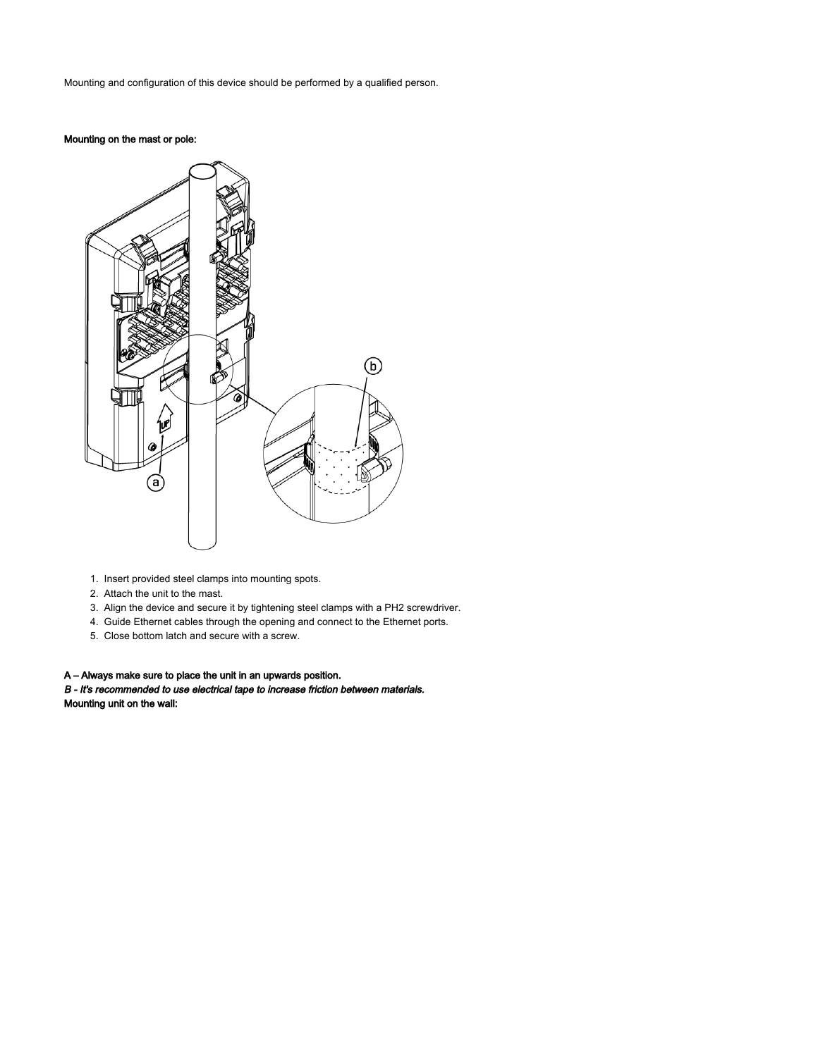Mounting and configuration of this device should be performed by a qualified person.

#### Mounting on the mast or pole:



- 1. Insert provided steel clamps into mounting spots.
- 2. Attach the unit to the mast.
- 3. Align the device and secure it by tightening steel clamps with a PH2 screwdriver.
- 4. Guide Ethernet cables through the opening and connect to the Ethernet ports.
- 5. Close bottom latch and secure with a screw.

#### A – Always make sure to place the unit in an upwards position.

B - It's recommended to use electrical tape to increase friction between materials. Mounting unit on the wall: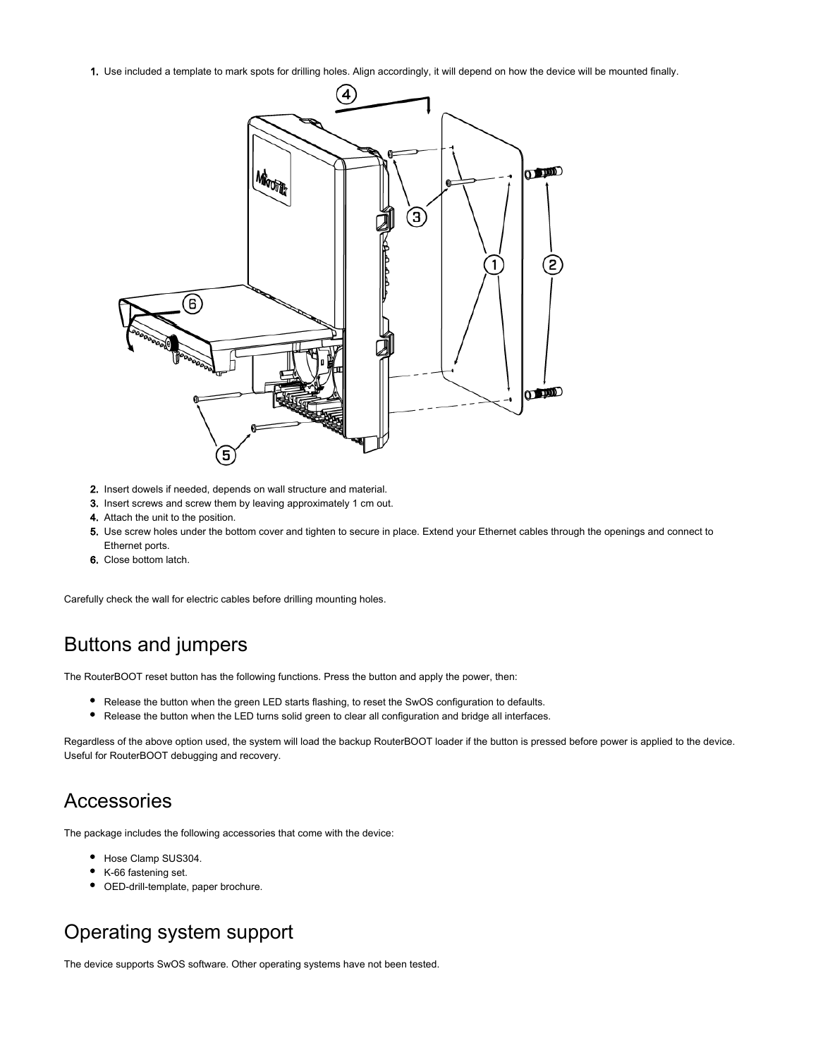1. Use included a template to mark spots for drilling holes. Align accordingly, it will depend on how the device will be mounted finally.



- 2. Insert dowels if needed, depends on wall structure and material.
- 3. Insert screws and screw them by leaving approximately 1 cm out.
- 4. Attach the unit to the position.
- 5. Use screw holes under the bottom cover and tighten to secure in place. Extend your Ethernet cables through the openings and connect to Ethernet ports.
- 6. Close bottom latch.

Carefully check the wall for electric cables before drilling mounting holes.

#### Buttons and jumpers

The RouterBOOT reset button has the following functions. Press the button and apply the power, then:

- Release the button when the green LED starts flashing, to reset the SwOS configuration to defaults.
- Release the button when the LED turns solid green to clear all configuration and bridge all interfaces.

Regardless of the above option used, the system will load the backup RouterBOOT loader if the button is pressed before power is applied to the device. Useful for RouterBOOT debugging and recovery.

#### Accessories

The package includes the following accessories that come with the device:

- Hose Clamp SUS304.
- K-66 fastening set.
- OED-drill-template, paper brochure.

#### Operating system support

The device supports SwOS software. Other operating systems have not been tested.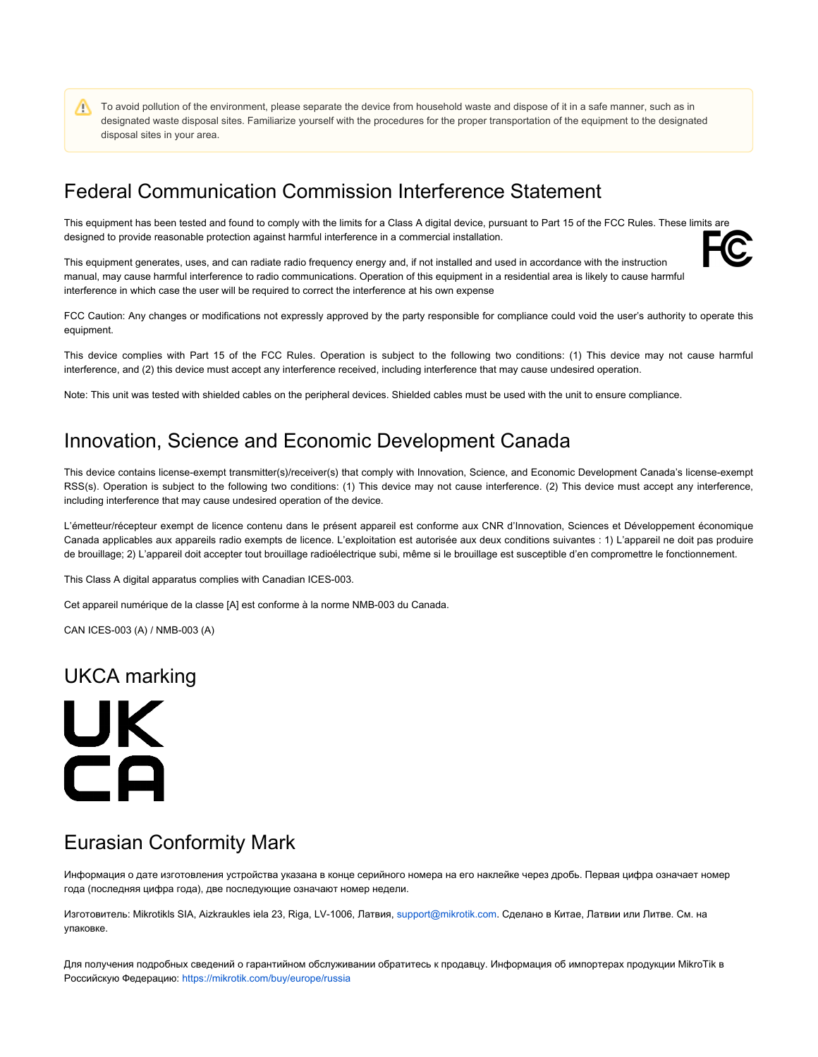To avoid pollution of the environment, please separate the device from household waste and dispose of it in a safe manner, such as in Λ designated waste disposal sites. Familiarize yourself with the procedures for the proper transportation of the equipment to the designated disposal sites in your area.

#### Federal Communication Commission Interference Statement

This equipment has been tested and found to comply with the limits for a Class A digital device, pursuant to Part 15 of the FCC Rules. These limits are designed to provide reasonable protection against harmful interference in a commercial installation.

This equipment generates, uses, and can radiate radio frequency energy and, if not installed and used in accordance with the instruction manual, may cause harmful interference to radio communications. Operation of this equipment in a residential area is likely to cause harmful interference in which case the user will be required to correct the interference at his own expense

FCC Caution: Any changes or modifications not expressly approved by the party responsible for compliance could void the user's authority to operate this equipment.

This device complies with Part 15 of the FCC Rules. Operation is subject to the following two conditions: (1) This device may not cause harmful interference, and (2) this device must accept any interference received, including interference that may cause undesired operation.

Note: This unit was tested with shielded cables on the peripheral devices. Shielded cables must be used with the unit to ensure compliance.

#### Innovation, Science and Economic Development Canada

This device contains license-exempt transmitter(s)/receiver(s) that comply with Innovation, Science, and Economic Development Canada's license-exempt RSS(s). Operation is subject to the following two conditions: (1) This device may not cause interference. (2) This device must accept any interference, including interference that may cause undesired operation of the device.

L'émetteur/récepteur exempt de licence contenu dans le présent appareil est conforme aux CNR d'Innovation, Sciences et Développement économique Canada applicables aux appareils radio exempts de licence. L'exploitation est autorisée aux deux conditions suivantes : 1) L'appareil ne doit pas produire de brouillage; 2) L'appareil doit accepter tout brouillage radioélectrique subi, même si le brouillage est susceptible d'en compromettre le fonctionnement.

This Class A digital apparatus complies with Canadian ICES-003.

Cet appareil numérique de la classe [A] est conforme à la norme NMB-003 du Canada.

CAN ICES-003 (A) / NMB-003 (A)

#### UKCA marking

# UK.  $\Box$

#### Eurasian Conformity Mark

Информация о дате изготовления устройства указана в конце серийного номера на его наклейке через дробь. Первая цифра означает номер года (последняя цифра года), две последующие означают номер недели.

Изготовитель: Mikrotikls SIA, Aizkraukles iela 23, Riga, LV-1006, Латвия, [support@mikrotik.com.](mailto:support@mikrotik.com) Сделано в Китае, Латвии или Литве. Cм. на упаковке.

Для получения подробных сведений о гарантийном обслуживании обратитесь к продавцу. Информация об импортерах продукции MikroTik в Российскую Федерацию:<https://mikrotik.com/buy/europe/russia>